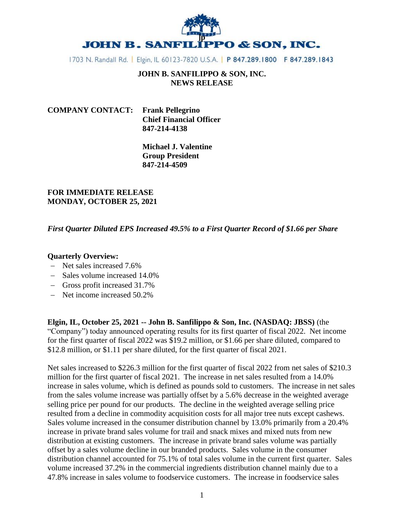

1703 N. Randall Rd. | Elgin, IL 60123-7820 U.S.A. | P 847.289.1800 F 847.289.1843

# **JOHN B. SANFILIPPO & SON, INC. NEWS RELEASE**

| <b>COMPANY CONTACT:</b> Frank Pellegrino |                                |
|------------------------------------------|--------------------------------|
|                                          | <b>Chief Financial Officer</b> |
|                                          | 847-214-4138                   |

**Michael J. Valentine Group President 847-214-4509**

## **FOR IMMEDIATE RELEASE MONDAY, OCTOBER 25, 2021**

## *First Quarter Diluted EPS Increased 49.5% to a First Quarter Record of \$1.66 per Share*

## **Quarterly Overview:**

- − Net sales increased 7.6%
- − Sales volume increased 14.0%
- − Gross profit increased 31.7%
- − Net income increased 50.2%

**Elgin, IL, October 25, 2021 -- John B. Sanfilippo & Son, Inc. (NASDAQ: JBSS)** (the "Company") today announced operating results for its first quarter of fiscal 2022. Net income for the first quarter of fiscal 2022 was \$19.2 million, or \$1.66 per share diluted, compared to \$12.8 million, or \$1.11 per share diluted, for the first quarter of fiscal 2021.

Net sales increased to \$226.3 million for the first quarter of fiscal 2022 from net sales of \$210.3 million for the first quarter of fiscal 2021. The increase in net sales resulted from a 14.0% increase in sales volume, which is defined as pounds sold to customers. The increase in net sales from the sales volume increase was partially offset by a 5.6% decrease in the weighted average selling price per pound for our products. The decline in the weighted average selling price resulted from a decline in commodity acquisition costs for all major tree nuts except cashews. Sales volume increased in the consumer distribution channel by 13.0% primarily from a 20.4% increase in private brand sales volume for trail and snack mixes and mixed nuts from new distribution at existing customers. The increase in private brand sales volume was partially offset by a sales volume decline in our branded products. Sales volume in the consumer distribution channel accounted for 75.1% of total sales volume in the current first quarter. Sales volume increased 37.2% in the commercial ingredients distribution channel mainly due to a 47.8% increase in sales volume to foodservice customers. The increase in foodservice sales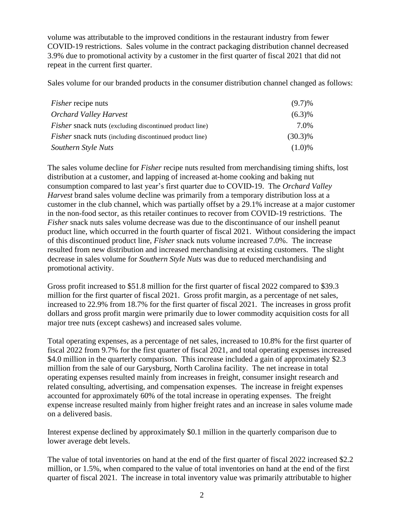volume was attributable to the improved conditions in the restaurant industry from fewer COVID-19 restrictions. Sales volume in the contract packaging distribution channel decreased 3.9% due to promotional activity by a customer in the first quarter of fiscal 2021 that did not repeat in the current first quarter.

Sales volume for our branded products in the consumer distribution channel changed as follows:

| <i>Fisher</i> recipe nuts                                      | $(9.7)\%$  |
|----------------------------------------------------------------|------------|
| <b>Orchard Valley Harvest</b>                                  | $(6.3)\%$  |
| <i>Fisher</i> snack nuts (excluding discontinued product line) | 7.0%       |
| <i>Fisher</i> snack nuts (including discontinued product line) | $(30.3)\%$ |
| Southern Style Nuts                                            | $(1.0)\%$  |

The sales volume decline for *Fisher* recipe nuts resulted from merchandising timing shifts, lost distribution at a customer, and lapping of increased at-home cooking and baking nut consumption compared to last year's first quarter due to COVID-19. The *Orchard Valley Harvest* brand sales volume decline was primarily from a temporary distribution loss at a customer in the club channel, which was partially offset by a 29.1% increase at a major customer in the non-food sector, as this retailer continues to recover from COVID-19 restrictions. The *Fisher* snack nuts sales volume decrease was due to the discontinuance of our inshell peanut product line, which occurred in the fourth quarter of fiscal 2021. Without considering the impact of this discontinued product line, *Fisher* snack nuts volume increased 7.0%. The increase resulted from new distribution and increased merchandising at existing customers. The slight decrease in sales volume for *Southern Style Nuts* was due to reduced merchandising and promotional activity.

Gross profit increased to \$51.8 million for the first quarter of fiscal 2022 compared to \$39.3 million for the first quarter of fiscal 2021. Gross profit margin, as a percentage of net sales, increased to 22.9% from 18.7% for the first quarter of fiscal 2021. The increases in gross profit dollars and gross profit margin were primarily due to lower commodity acquisition costs for all major tree nuts (except cashews) and increased sales volume.

Total operating expenses, as a percentage of net sales, increased to 10.8% for the first quarter of fiscal 2022 from 9.7% for the first quarter of fiscal 2021, and total operating expenses increased \$4.0 million in the quarterly comparison. This increase included a gain of approximately \$2.3 million from the sale of our Garysburg, North Carolina facility. The net increase in total operating expenses resulted mainly from increases in freight, consumer insight research and related consulting, advertising, and compensation expenses. The increase in freight expenses accounted for approximately 60% of the total increase in operating expenses. The freight expense increase resulted mainly from higher freight rates and an increase in sales volume made on a delivered basis.

Interest expense declined by approximately \$0.1 million in the quarterly comparison due to lower average debt levels.

The value of total inventories on hand at the end of the first quarter of fiscal 2022 increased \$2.2 million, or 1.5%, when compared to the value of total inventories on hand at the end of the first quarter of fiscal 2021. The increase in total inventory value was primarily attributable to higher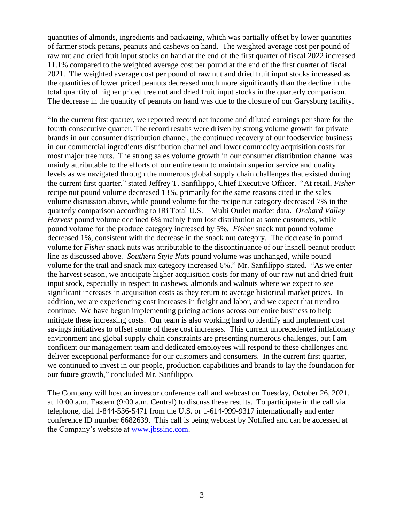quantities of almonds, ingredients and packaging, which was partially offset by lower quantities of farmer stock pecans, peanuts and cashews on hand. The weighted average cost per pound of raw nut and dried fruit input stocks on hand at the end of the first quarter of fiscal 2022 increased 11.1% compared to the weighted average cost per pound at the end of the first quarter of fiscal 2021. The weighted average cost per pound of raw nut and dried fruit input stocks increased as the quantities of lower priced peanuts decreased much more significantly than the decline in the total quantity of higher priced tree nut and dried fruit input stocks in the quarterly comparison. The decrease in the quantity of peanuts on hand was due to the closure of our Garysburg facility.

"In the current first quarter, we reported record net income and diluted earnings per share for the fourth consecutive quarter. The record results were driven by strong volume growth for private brands in our consumer distribution channel, the continued recovery of our foodservice business in our commercial ingredients distribution channel and lower commodity acquisition costs for most major tree nuts. The strong sales volume growth in our consumer distribution channel was mainly attributable to the efforts of our entire team to maintain superior service and quality levels as we navigated through the numerous global supply chain challenges that existed during the current first quarter," stated Jeffrey T. Sanfilippo, Chief Executive Officer. "At retail, *Fisher* recipe nut pound volume decreased 13%, primarily for the same reasons cited in the sales volume discussion above, while pound volume for the recipe nut category decreased 7% in the quarterly comparison according to IRi Total U.S. – Multi Outlet market data. *Orchard Valley Harvest* pound volume declined 6% mainly from lost distribution at some customers, while pound volume for the produce category increased by 5%. *Fisher* snack nut pound volume decreased 1%, consistent with the decrease in the snack nut category. The decrease in pound volume for *Fisher* snack nuts was attributable to the discontinuance of our inshell peanut product line as discussed above. *Southern Style Nuts* pound volume was unchanged, while pound volume for the trail and snack mix category increased 6%." Mr. Sanfilippo stated. "As we enter the harvest season, we anticipate higher acquisition costs for many of our raw nut and dried fruit input stock, especially in respect to cashews, almonds and walnuts where we expect to see significant increases in acquisition costs as they return to average historical market prices. In addition, we are experiencing cost increases in freight and labor, and we expect that trend to continue. We have begun implementing pricing actions across our entire business to help mitigate these increasing costs. Our team is also working hard to identify and implement cost savings initiatives to offset some of these cost increases. This current unprecedented inflationary environment and global supply chain constraints are presenting numerous challenges, but I am confident our management team and dedicated employees will respond to these challenges and deliver exceptional performance for our customers and consumers. In the current first quarter, we continued to invest in our people, production capabilities and brands to lay the foundation for our future growth," concluded Mr. Sanfilippo.

The Company will host an investor conference call and webcast on Tuesday, October 26, 2021, at 10:00 a.m. Eastern (9:00 a.m. Central) to discuss these results. To participate in the call via telephone, dial 1-844-536-5471 from the U.S. or 1-614-999-9317 internationally and enter conference ID number 6682639. This call is being webcast by Notified and can be accessed at the Company's website at [www.jbssinc.com.](http://www.jbssinc.com/)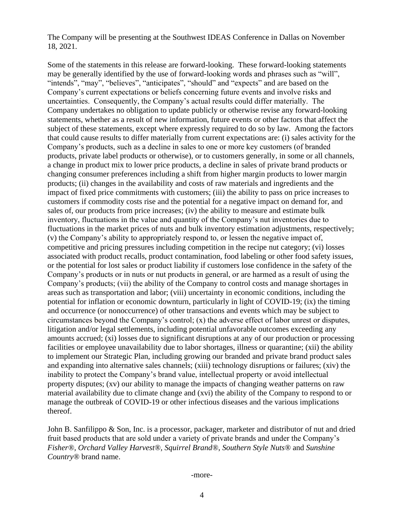The Company will be presenting at the Southwest IDEAS Conference in Dallas on November 18, 2021.

Some of the statements in this release are forward-looking. These forward-looking statements may be generally identified by the use of forward-looking words and phrases such as "will", "intends", "may", "believes", "anticipates", "should" and "expects" and are based on the Company's current expectations or beliefs concerning future events and involve risks and uncertainties. Consequently, the Company's actual results could differ materially. The Company undertakes no obligation to update publicly or otherwise revise any forward-looking statements, whether as a result of new information, future events or other factors that affect the subject of these statements, except where expressly required to do so by law. Among the factors that could cause results to differ materially from current expectations are: (i) sales activity for the Company's products, such as a decline in sales to one or more key customers (of branded products, private label products or otherwise), or to customers generally, in some or all channels, a change in product mix to lower price products, a decline in sales of private brand products or changing consumer preferences including a shift from higher margin products to lower margin products; (ii) changes in the availability and costs of raw materials and ingredients and the impact of fixed price commitments with customers; (iii) the ability to pass on price increases to customers if commodity costs rise and the potential for a negative impact on demand for, and sales of, our products from price increases; (iv) the ability to measure and estimate bulk inventory, fluctuations in the value and quantity of the Company's nut inventories due to fluctuations in the market prices of nuts and bulk inventory estimation adjustments, respectively; (v) the Company's ability to appropriately respond to, or lessen the negative impact of, competitive and pricing pressures including competition in the recipe nut category; (vi) losses associated with product recalls, product contamination, food labeling or other food safety issues, or the potential for lost sales or product liability if customers lose confidence in the safety of the Company's products or in nuts or nut products in general, or are harmed as a result of using the Company's products; (vii) the ability of the Company to control costs and manage shortages in areas such as transportation and labor; (viii) uncertainty in economic conditions, including the potential for inflation or economic downturn, particularly in light of COVID-19; (ix) the timing and occurrence (or nonoccurrence) of other transactions and events which may be subject to circumstances beyond the Company's control; (x) the adverse effect of labor unrest or disputes, litigation and/or legal settlements, including potential unfavorable outcomes exceeding any amounts accrued; (xi) losses due to significant disruptions at any of our production or processing facilities or employee unavailability due to labor shortages, illness or quarantine; (xii) the ability to implement our Strategic Plan, including growing our branded and private brand product sales and expanding into alternative sales channels; (xiii) technology disruptions or failures; (xiv) the inability to protect the Company's brand value, intellectual property or avoid intellectual property disputes; (xv) our ability to manage the impacts of changing weather patterns on raw material availability due to climate change and (xvi) the ability of the Company to respond to or manage the outbreak of COVID-19 or other infectious diseases and the various implications thereof.

John B. Sanfilippo & Son, Inc. is a processor, packager, marketer and distributor of nut and dried fruit based products that are sold under a variety of private brands and under the Company's *Fisher®, Orchard Valley Harvest®, Squirrel Brand®*, *Southern Style Nuts®* and *Sunshine Country®* brand name.

-more-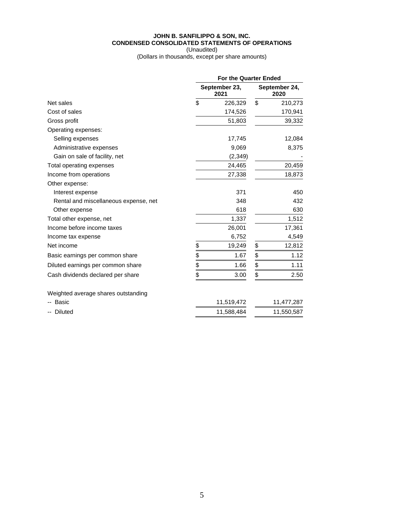#### **JOHN B. SANFILIPPO & SON, INC. CONDENSED CONSOLIDATED STATEMENTS OF OPERATIONS**

(Unaudited) (Dollars in thousands, except per share amounts)

|                                       |    | For the Quarter Ended |                       |            |  |
|---------------------------------------|----|-----------------------|-----------------------|------------|--|
|                                       |    | September 23,<br>2021 | September 24,<br>2020 |            |  |
| Net sales                             | \$ | 226,329               | \$                    | 210,273    |  |
| Cost of sales                         |    | 174,526               |                       | 170,941    |  |
| Gross profit                          |    | 51,803                |                       | 39,332     |  |
| Operating expenses:                   |    |                       |                       |            |  |
| Selling expenses                      |    | 17,745                |                       | 12,084     |  |
| Administrative expenses               |    | 9,069                 |                       | 8,375      |  |
| Gain on sale of facility, net         |    | (2,349)               |                       |            |  |
| Total operating expenses              |    | 24,465                |                       | 20,459     |  |
| Income from operations                |    | 27,338                |                       | 18,873     |  |
| Other expense:                        |    |                       |                       |            |  |
| Interest expense                      |    | 371                   |                       | 450        |  |
| Rental and miscellaneous expense, net |    | 348                   |                       | 432        |  |
| Other expense                         |    | 618                   |                       | 630        |  |
| Total other expense, net              |    | 1,337                 |                       | 1,512      |  |
| Income before income taxes            |    | 26,001                |                       | 17,361     |  |
| Income tax expense                    |    | 6,752                 |                       | 4,549      |  |
| Net income                            | \$ | 19,249                | \$                    | 12,812     |  |
| Basic earnings per common share       | \$ | 1.67                  | \$                    | 1.12       |  |
| Diluted earnings per common share     | \$ | 1.66                  | \$                    | 1.11       |  |
| Cash dividends declared per share     | \$ | 3.00                  | \$                    | 2.50       |  |
| Weighted average shares outstanding   |    |                       |                       |            |  |
| Basic                                 |    | 11,519,472            |                       | 11,477,287 |  |
| <b>Diluted</b>                        |    | 11,588,484            |                       | 11,550,587 |  |